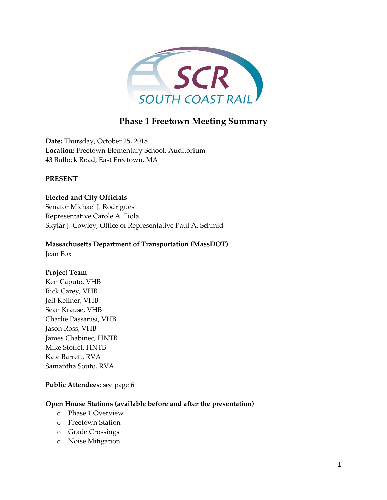

## **Phase 1 Freetown Meeting Summary**

**Date:** Thursday, October 25, 2018 **Location:** Freetown Elementary School, Auditorium 43 Bullock Road, East Freetown, MA

#### **PRESENT**

**Elected and City Officials** Senator Michael J. Rodrigues Representative Carole A. Fiola Skylar J. Cowley, Office of Representative Paul A. Schmid

# **Massachusetts Department of Transportation (MassDOT)**

Jean Fox

## **Project Team**

Ken Caputo, VHB Rick Carey, VHB Jeff Kellner, VHB Sean Krause, VHB Charlie Passanisi, VHB Jason Ross, VHB James Chabinec, HNTB Mike Stoffel, HNTB Kate Barrett, RVA Samantha Souto, RVA

#### **Public Attendees**: see page 6

#### **Open House Stations (available before and after the presentation)**

- o Phase 1 Overview
- o Freetown Station
- o Grade Crossings
- o Noise Mitigation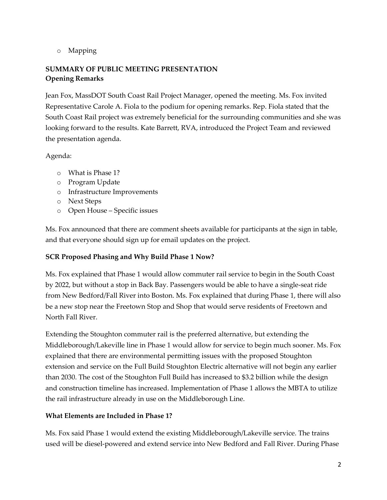o Mapping

## **SUMMARY OF PUBLIC MEETING PRESENTATION Opening Remarks**

Jean Fox, MassDOT South Coast Rail Project Manager, opened the meeting. Ms. Fox invited Representative Carole A. Fiola to the podium for opening remarks. Rep. Fiola stated that the South Coast Rail project was extremely beneficial for the surrounding communities and she was looking forward to the results. Kate Barrett, RVA, introduced the Project Team and reviewed the presentation agenda.

## Agenda:

- o What is Phase 1?
- o Program Update
- o Infrastructure Improvements
- o Next Steps
- o Open House Specific issues

Ms. Fox announced that there are comment sheets available for participants at the sign in table, and that everyone should sign up for email updates on the project.

## **SCR Proposed Phasing and Why Build Phase 1 Now?**

Ms. Fox explained that Phase 1 would allow commuter rail service to begin in the South Coast by 2022, but without a stop in Back Bay. Passengers would be able to have a single-seat ride from New Bedford/Fall River into Boston. Ms. Fox explained that during Phase 1, there will also be a new stop near the Freetown Stop and Shop that would serve residents of Freetown and North Fall River.

Extending the Stoughton commuter rail is the preferred alternative, but extending the Middleborough/Lakeville line in Phase 1 would allow for service to begin much sooner. Ms. Fox explained that there are environmental permitting issues with the proposed Stoughton extension and service on the Full Build Stoughton Electric alternative will not begin any earlier than 2030. The cost of the Stoughton Full Build has increased to \$3.2 billion while the design and construction timeline has increased. Implementation of Phase 1 allows the MBTA to utilize the rail infrastructure already in use on the Middleborough Line.

## **What Elements are Included in Phase 1?**

Ms. Fox said Phase 1 would extend the existing Middleborough/Lakeville service. The trains used will be diesel-powered and extend service into New Bedford and Fall River. During Phase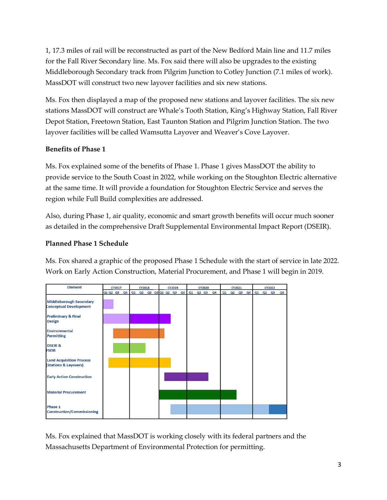1, 17.3 miles of rail will be reconstructed as part of the New Bedford Main line and 11.7 miles for the Fall River Secondary line. Ms. Fox said there will also be upgrades to the existing Middleborough Secondary track from Pilgrim Junction to Cotley Junction (7.1 miles of work). MassDOT will construct two new layover facilities and six new stations.

Ms. Fox then displayed a map of the proposed new stations and layover facilities. The six new stations MassDOT will construct are Whale's Tooth Station, King's Highway Station, Fall River Depot Station, Freetown Station, East Taunton Station and Pilgrim Junction Station. The two layover facilities will be called Wamsutta Layover and Weaver's Cove Layover.

#### **Benefits of Phase 1**

Ms. Fox explained some of the benefits of Phase 1. Phase 1 gives MassDOT the ability to provide service to the South Coast in 2022, while working on the Stoughton Electric alternative at the same time. It will provide a foundation for Stoughton Electric Service and serves the region while Full Build complexities are addressed.

Also, during Phase 1, air quality, economic and smart growth benefits will occur much sooner as detailed in the comprehensive Draft Supplemental Environmental Impact Report (DSEIR).

## **Planned Phase 1 Schedule**

Ms. Fox shared a graphic of the proposed Phase 1 Schedule with the start of service in late 2022. Work on Early Action Construction, Material Procurement, and Phase 1 will begin in 2019.



Ms. Fox explained that MassDOT is working closely with its federal partners and the Massachusetts Department of Environmental Protection for permitting.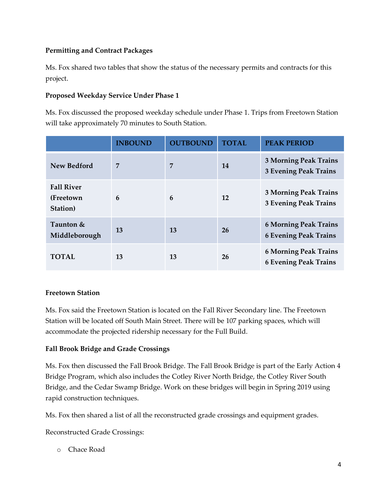## **Permitting and Contract Packages**

Ms. Fox shared two tables that show the status of the necessary permits and contracts for this project.

### **Proposed Weekday Service Under Phase 1**

Ms. Fox discussed the proposed weekday schedule under Phase 1. Trips from Freetown Station will take approximately 70 minutes to South Station.

|                                             | <b>INBOUND</b> | <b>OUTBOUND</b> | <b>TOTAL</b> | <b>PEAK PERIOD</b>                                           |
|---------------------------------------------|----------------|-----------------|--------------|--------------------------------------------------------------|
| <b>New Bedford</b>                          | 7              | 7               | 14           | <b>3 Morning Peak Trains</b><br><b>3 Evening Peak Trains</b> |
| <b>Fall River</b><br>(Freetown)<br>Station) | 6              | 6               | 12           | <b>3 Morning Peak Trains</b><br><b>3 Evening Peak Trains</b> |
| Taunton &<br>Middleborough                  | 13             | 13              | <b>26</b>    | <b>6 Morning Peak Trains</b><br><b>6 Evening Peak Trains</b> |
| <b>TOTAL</b>                                | 13             | 13              | 26           | <b>6 Morning Peak Trains</b><br><b>6 Evening Peak Trains</b> |

#### **Freetown Station**

Ms. Fox said the Freetown Station is located on the Fall River Secondary line. The Freetown Station will be located off South Main Street. There will be 107 parking spaces, which will accommodate the projected ridership necessary for the Full Build.

#### **Fall Brook Bridge and Grade Crossings**

Ms. Fox then discussed the Fall Brook Bridge. The Fall Brook Bridge is part of the Early Action 4 Bridge Program, which also includes the Cotley River North Bridge, the Cotley River South Bridge, and the Cedar Swamp Bridge. Work on these bridges will begin in Spring 2019 using rapid construction techniques.

Ms. Fox then shared a list of all the reconstructed grade crossings and equipment grades.

Reconstructed Grade Crossings:

o Chace Road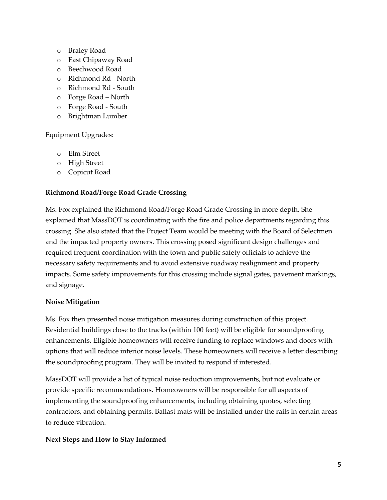- o Braley Road
- o East Chipaway Road
- o Beechwood Road
- o Richmond Rd North
- o Richmond Rd South
- o Forge Road North
- o Forge Road South
- o Brightman Lumber

Equipment Upgrades:

- o Elm Street
- o High Street
- o Copicut Road

#### **Richmond Road/Forge Road Grade Crossing**

Ms. Fox explained the Richmond Road/Forge Road Grade Crossing in more depth. She explained that MassDOT is coordinating with the fire and police departments regarding this crossing. She also stated that the Project Team would be meeting with the Board of Selectmen and the impacted property owners. This crossing posed significant design challenges and required frequent coordination with the town and public safety officials to achieve the necessary safety requirements and to avoid extensive roadway realignment and property impacts. Some safety improvements for this crossing include signal gates, pavement markings, and signage.

#### **Noise Mitigation**

Ms. Fox then presented noise mitigation measures during construction of this project. Residential buildings close to the tracks (within 100 feet) will be eligible for soundproofing enhancements. Eligible homeowners will receive funding to replace windows and doors with options that will reduce interior noise levels. These homeowners will receive a letter describing the soundproofing program. They will be invited to respond if interested.

MassDOT will provide a list of typical noise reduction improvements, but not evaluate or provide specific recommendations. Homeowners will be responsible for all aspects of implementing the soundproofing enhancements, including obtaining quotes, selecting contractors, and obtaining permits. Ballast mats will be installed under the rails in certain areas to reduce vibration.

#### **Next Steps and How to Stay Informed**